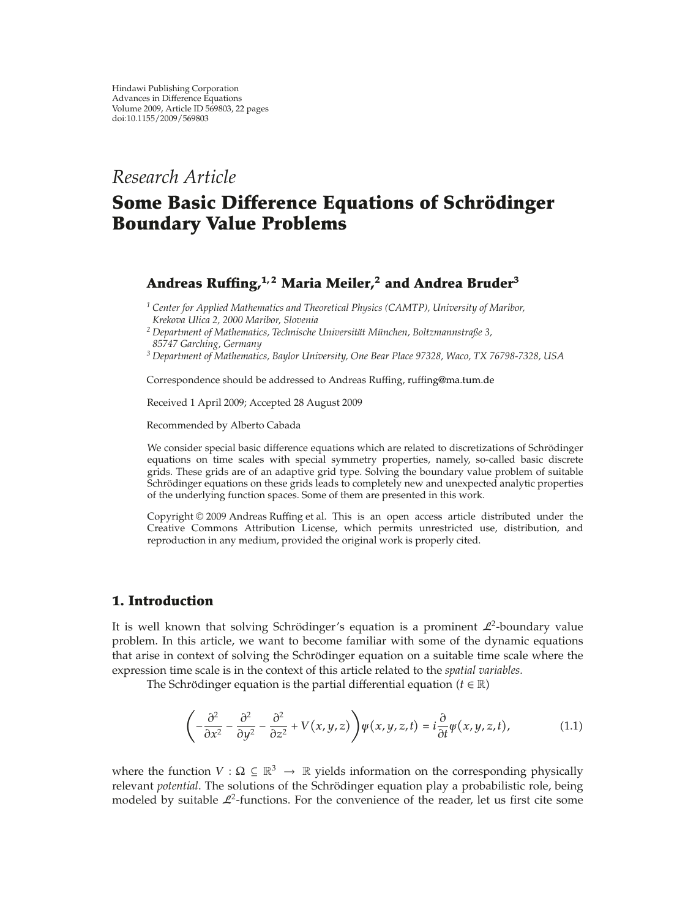# *Research Article*

# **Some Basic Difference Equations of Schrödinger Boundary Value Problems**

# **Andreas Ruffing,1, 2 Maria Meiler,2 and Andrea Bruder<sup>3</sup>**

*<sup>1</sup> Center for Applied Mathematics and Theoretical Physics (CAMTP), University of Maribor, Krekova Ulica 2, 2000 Maribor, Slovenia*

*<sup>2</sup> Department of Mathematics, Technische Universitat M¨ unchen, Boltzmannstraße 3, ¨*

*85747 Garching, Germany*

*<sup>3</sup> Department of Mathematics, Baylor University, One Bear Place 97328, Waco, TX 76798-7328, USA*

Correspondence should be addressed to Andreas Ruffing, ruffing@ma.tum.de

Received 1 April 2009; Accepted 28 August 2009

Recommended by Alberto Cabada

We consider special basic difference equations which are related to discretizations of Schrödinger equations on time scales with special symmetry properties, namely, so-called basic discrete grids. These grids are of an adaptive grid type. Solving the boundary value problem of suitable Schrödinger equations on these grids leads to completely new and unexpected analytic properties of the underlying function spaces. Some of them are presented in this work.

Copyright  $@$  2009 Andreas Ruffing et al. This is an open access article distributed under the Creative Commons Attribution License, which permits unrestricted use, distribution, and reproduction in any medium, provided the original work is properly cited.

## **1. Introduction**

It is well known that solving Schrödinger's equation is a prominent  $\mathcal{L}^2$ -boundary value problem. In this article, we want to become familiar with some of the dynamic equations that arise in context of solving the Schrödinger equation on a suitable time scale where the expression time scale is in the context of this article related to the *spatial variables.*

The Schrödinger equation is the partial differential equation  $(t \in \mathbb{R})$ 

$$
\left(-\frac{\partial^2}{\partial x^2} - \frac{\partial^2}{\partial y^2} - \frac{\partial^2}{\partial z^2} + V(x, y, z)\right) \psi(x, y, z, t) = i \frac{\partial}{\partial t} \psi(x, y, z, t), \tag{1.1}
$$

where the function  $V : \Omega \subseteq \mathbb{R}^3 \to \mathbb{R}$  yields information on the corresponding physically relevant *potential*. The solutions of the Schrödinger equation play a probabilistic role, being modeled by suitable  $\mathcal{L}^2$ -functions. For the convenience of the reader, let us first cite some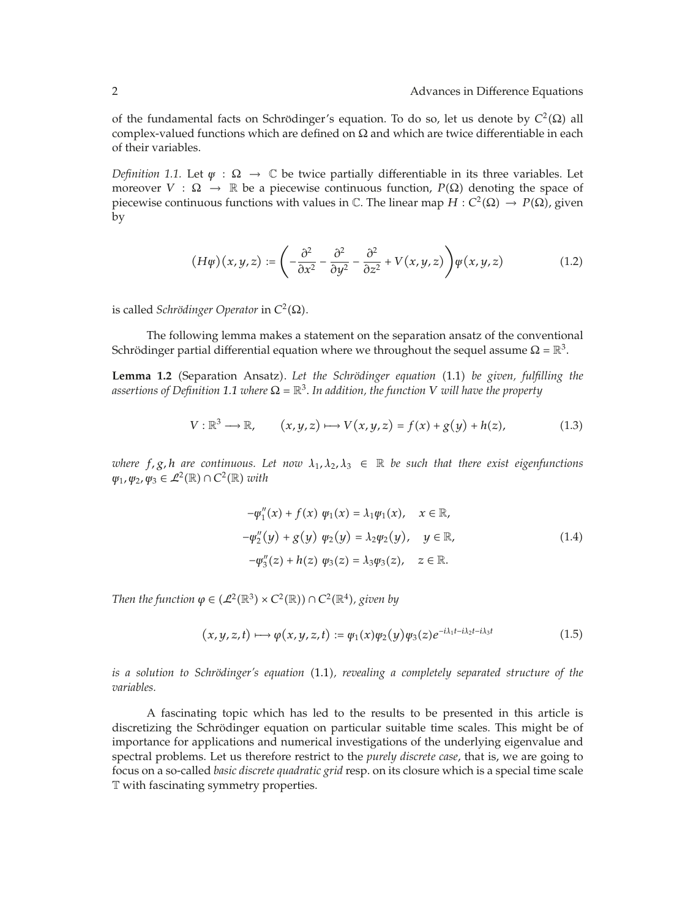of the fundamental facts on Schrödinger's equation. To do so, let us denote by  $C^2(\Omega)$  all complex-valued functions which are defined on  $\Omega$  and which are twice differentiable in each of their variables.

*Definition 1.1.* Let  $\psi : \Omega \to \mathbb{C}$  be twice partially differentiable in its three variables. Let moreover  $V : \Omega \to \mathbb{R}$  be a piecewise continuous function,  $P(\Omega)$  denoting the space of piecewise continuous functions with values in  $\mathbb C$ . The linear map  $H : C^2(\Omega) \to P(\Omega)$ , given by

$$
(H\psi)(x,y,z) := \left(-\frac{\partial^2}{\partial x^2} - \frac{\partial^2}{\partial y^2} - \frac{\partial^2}{\partial z^2} + V(x,y,z)\right)\psi(x,y,z) \tag{1.2}
$$

*is called <i>Schrödinger Operator* in  $C^2(\Omega)$ *.* 

The following lemma makes a statement on the separation ansatz of the conventional Schrödinger partial differential equation where we throughout the sequel assume  $\Omega = \mathbb{R}^3$ .

Lemma 1.2 (Separation Ansatz). Let the Schrödinger equation (1.1) be given, fulfilling the *assertions of Definition* 1.1 *where*  $\Omega = \mathbb{R}^3$ . In addition, the function V will have the property

$$
V: \mathbb{R}^3 \longrightarrow \mathbb{R}, \qquad (x, y, z) \longmapsto V(x, y, z) = f(x) + g(y) + h(z), \tag{1.3}
$$

*where*  $f$ ,  $g$ ,  $h$  are continuous. Let now  $\lambda_1, \lambda_2, \lambda_3 \in \mathbb{R}$  be such that there exist eigenfunctions  $\psi_1, \psi_2, \psi_3 \in \mathcal{L}^2(\mathbb{R}) \cap C^2(\mathbb{R})$  *with* 

$$
-\psi_1''(x) + f(x) \psi_1(x) = \lambda_1 \psi_1(x), \quad x \in \mathbb{R},
$$
  

$$
-\psi_2''(y) + g(y) \psi_2(y) = \lambda_2 \psi_2(y), \quad y \in \mathbb{R},
$$
  

$$
-\psi_3''(z) + h(z) \psi_3(z) = \lambda_3 \psi_3(z), \quad z \in \mathbb{R}.
$$
 (1.4)

*Then the function*  $\varphi \in (L^2(\mathbb{R}^3) \times C^2(\mathbb{R})) \cap C^2(\mathbb{R}^4)$ , given by

$$
(x, y, z, t) \mapsto \varphi(x, y, z, t) := \varphi_1(x)\varphi_2(y)\varphi_3(z)e^{-i\lambda_1 t - i\lambda_2 t - i\lambda_3 t}
$$
 (1.5)

*is a solution to Schrödinger's equation* (1.1), *revealing a completely separated structure of the variables.*

A fascinating topic which has led to the results to be presented in this article is discretizing the Schrödinger equation on particular suitable time scales. This might be of importance for applications and numerical investigations of the underlying eigenvalue and spectral problems. Let us therefore restrict to the *purely discrete case*, that is, we are going to focus on a so-called *basic discrete quadratic grid* resp. on its closure which is a special time scale T with fascinating symmetry properties.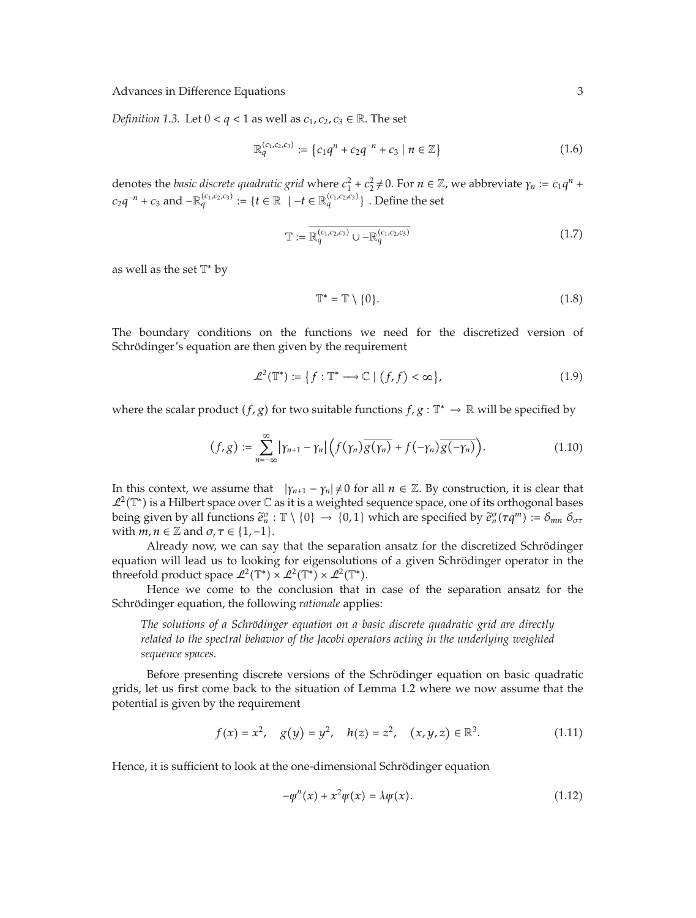*Definition 1.3.* Let  $0 < q < 1$  as well as  $c_1, c_2, c_3 \in \mathbb{R}$ . The set

$$
\mathbb{R}_q^{(c_1,c_2,c_3)} := \{c_1q^n + c_2q^{-n} + c_3 \mid n \in \mathbb{Z}\}\tag{1.6}
$$

denotes the *basic discrete quadratic grid* where  $c_1^2 + c_2^2 \neq 0$ . For  $n \in \mathbb{Z}$ , we abbreviate  $\gamma_n := c_1 q^n + c_2^2 q^n$ *c*<sub>2</sub> $q^{-n}$  + *c*<sub>3</sub> and −R<sup>(*c*<sub>1</sub>,*c*<sub>2</sub>,*c*<sub>3</sub>)</sup> := {*t* ∈ R | −*t* ∈ R<sup>(*c*<sub>1</sub>,*c*<sub>2</sub>,*c*<sub>3</sub>)</sub>} . Define the set</sup>

$$
\mathbb{T} := \overline{\mathbb{R}_q^{(c_1, c_2, c_3)} \cup -\mathbb{R}_q^{(c_1, c_2, c_3)}}\tag{1.7}
$$

as well as the set  $T^*$  by

$$
\mathbb{T}^* = \mathbb{T} \setminus \{0\}.
$$
 (1.8)

The boundary conditions on the functions we need for the discretized version of Schrödinger's equation are then given by the requirement

$$
\mathcal{L}^2(\mathbb{T}^*) := \{ f : \mathbb{T}^* \longrightarrow \mathbb{C} \mid (f, f) < \infty \},\tag{1.9}
$$

where the scalar product *(f, g*) for two suitable functions  $f, g : \mathbb{T}^* \to \mathbb{R}$  will be specified by

$$
(f,g) := \sum_{n=-\infty}^{\infty} |\gamma_{n+1} - \gamma_n| \Big( f(\gamma_n) \overline{g(\gamma_n)} + f(-\gamma_n) \overline{g(-\gamma_n)} \Big). \tag{1.10}
$$

In this context, we assume that  $|\gamma_{n+1} - \gamma_n| \neq 0$  for all  $n \in \mathbb{Z}$ . By construction, it is clear that  $\mathcal{L}^2(\mathbb{T}^*)$  is a Hilbert space over  $\mathbb C$  as it is a weighted sequence space, one of its orthogonal bases being given by all functions  $\tilde{e}_n^{\sigma}$ :  $\mathbb{T} \setminus \{0\} \to \{0,1\}$  which are specified by  $\tilde{e}_n^{\sigma}(\tau q^m) := \delta_{mn} \delta_{\sigma \tau}$ with  $m, n \in \mathbb{Z}$  and  $\sigma, \tau \in \{1, -1\}.$ 

Already now, we can say that the separation ansatz for the discretized Schrödinger equation will lead us to looking for eigensolutions of a given Schrödinger operator in the threefold product space  $\mathcal{L}^2(\mathbb{T}^*) \times \mathcal{L}^2(\mathbb{T}^*) \times \mathcal{L}^2(\mathbb{T}^*)$ .

Hence we come to the conclusion that in case of the separation ansatz for the Schrödinger equation, the following *rationale* applies:

*The solutions of a Schrödinger equation on a basic discrete quadratic grid are directly related to the spectral behavior of the Jacobi operators acting in the underlying weighted sequence spaces.*

Before presenting discrete versions of the Schrödinger equation on basic quadratic grids, let us first come back to the situation of Lemma 1.2 where we now assume that the potential is given by the requirement

$$
f(x) = x^2, \quad g(y) = y^2, \quad h(z) = z^2, \quad (x, y, z) \in \mathbb{R}^3.
$$
 (1.11)

Hence, it is sufficient to look at the one-dimensional Schrödinger equation

$$
-\psi''(x) + x^2 \psi(x) = \lambda \psi(x). \tag{1.12}
$$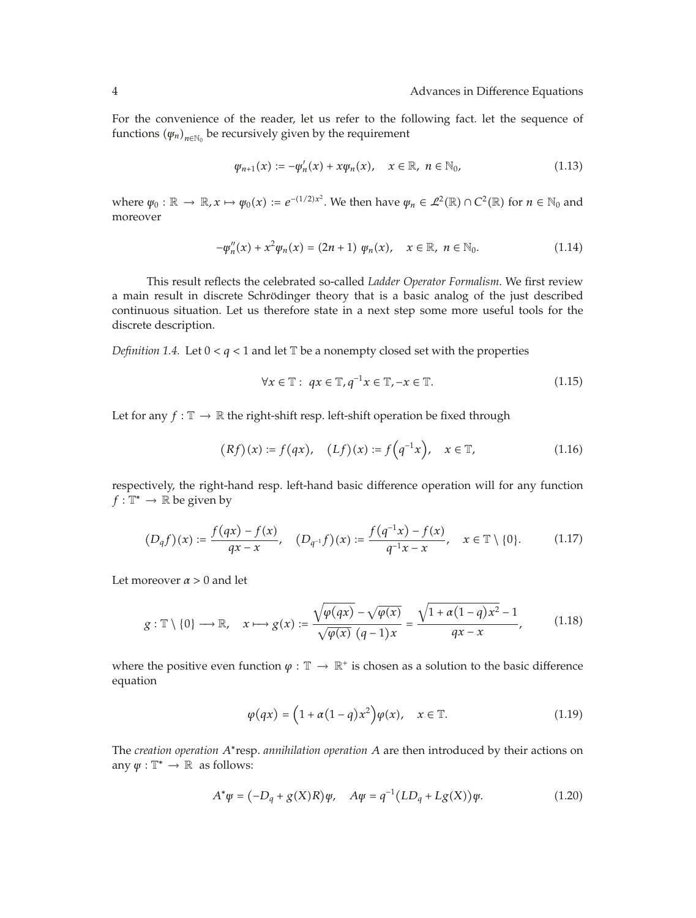For the convenience of the reader, let us refer to the following fact. let the sequence of functions  $(\psi_n)_{n \in \mathbb{N}_0}$  be recursively given by the requirement

$$
\varphi_{n+1}(x) := -\varphi'_n(x) + x\varphi_n(x), \quad x \in \mathbb{R}, \; n \in \mathbb{N}_0,
$$
\n(1.13)

where  $\psi_0 : \mathbb{R} \to \mathbb{R}, x \mapsto \psi_0(x) := e^{-(1/2)x^2}$ . We then have  $\psi_n \in \mathcal{L}^2(\mathbb{R}) \cap C^2(\mathbb{R})$  for  $n \in \mathbb{N}_0$  and moreover

$$
-\psi_n''(x) + x^2 \psi_n(x) = (2n+1) \ \psi_n(x), \quad x \in \mathbb{R}, \ n \in \mathbb{N}_0.
$$
 (1.14)

This result reflects the celebrated so-called *Ladder Operator Formalism*. We first review a main result in discrete Schrödinger theory that is a basic analog of the just described continuous situation. Let us therefore state in a next step some more useful tools for the discrete description.

*Definition 1.4.* Let  $0 < q < 1$  and let  $\mathbb{T}$  be a nonempty closed set with the properties

$$
\forall x \in \mathbb{T}: qx \in \mathbb{T}, q^{-1}x \in \mathbb{T}, -x \in \mathbb{T}.
$$
 (1.15)

Let for any  $f : \mathbb{T} \to \mathbb{R}$  the right-shift resp. left-shift operation be fixed through

$$
(Rf)(x) := f(qx), \quad (Lf)(x) := f(q^{-1}x), \quad x \in \mathbb{T}, \tag{1.16}
$$

respectively, the right-hand resp. left-hand basic difference operation will for any function  $f: \mathbb{T}^* \to \mathbb{R}$  be given by

$$
(D_q f)(x) := \frac{f(qx) - f(x)}{qx - x}, \quad (D_{q^{-1}} f)(x) := \frac{f(q^{-1}x) - f(x)}{q^{-1}x - x}, \quad x \in \mathbb{T} \setminus \{0\}.
$$
 (1.17)

Let moreover  $\alpha > 0$  and let

$$
g: \mathbb{T} \setminus \{0\} \longrightarrow \mathbb{R}, \quad x \longmapsto g(x) := \frac{\sqrt{\varphi(qx)} - \sqrt{\varphi(x)}}{\sqrt{\varphi(x)} (q-1)x} = \frac{\sqrt{1 + \alpha(1-q)x^2} - 1}{qx - x}, \quad (1.18)
$$

where the positive even function  $\varphi : \mathbb{T} \to \mathbb{R}^+$  is chosen as a solution to the basic difference equation

$$
\varphi(qx) = \left(1 + \alpha(1-q)x^2\right)\varphi(x), \quad x \in \mathbb{T}.\tag{1.19}
$$

The *creation operation A*∗resp. *annihilation operation A* are then introduced by their actions on any  $\psi : \mathbb{T}^* \to \mathbb{R}$  as follows:

$$
A^*\psi = (-D_q + g(X)R)\psi, \quad A\psi = q^{-1}(LD_q + Lg(X))\psi.
$$
 (1.20)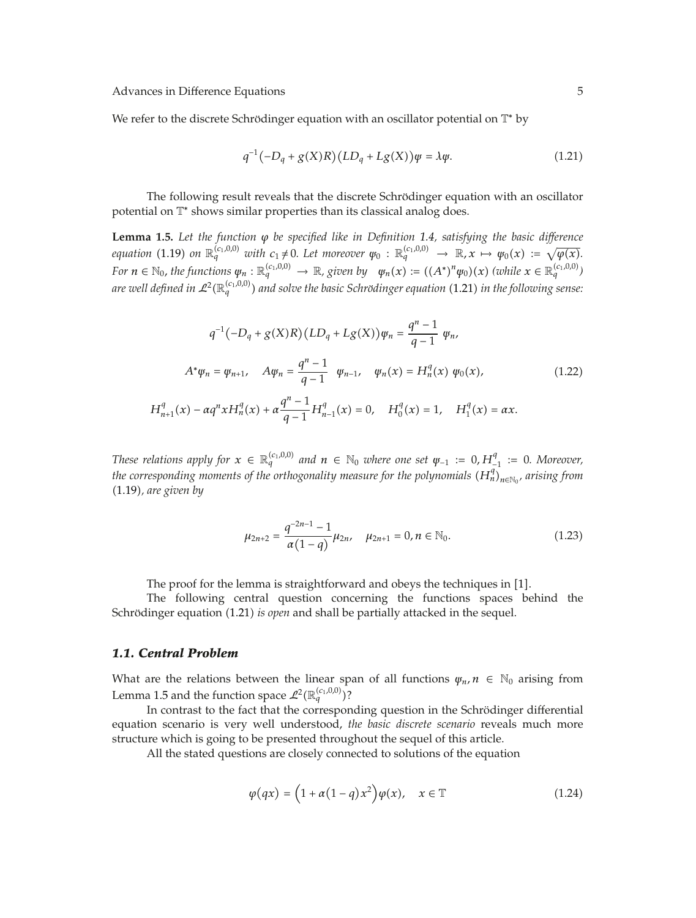We refer to the discrete Schrödinger equation with an oscillator potential on  $\mathbb{T}^*$  by

$$
q^{-1}(-D_q + g(X)R)(LD_q + Lg(X))\psi = \lambda \psi.
$$
 (1.21)

The following result reveals that the discrete Schrödinger equation with an oscillator potential on  $\mathbb{T}^*$  shows similar properties than its classical analog does.

**Lemma 1.5.** *Let the function ϕ be specified like in Definition 1.4, satisfying the basic difference* equation (1.19) on  $\mathbb{R}_q^{(c_1,0,0)}$  with  $c_1 \neq 0$ . Let moreover  $\psi_0 : \mathbb{R}_q^{(c_1,0,0)} \to \mathbb{R}$ ,  $x \mapsto \psi_0(x) := \sqrt{\varphi(x)}$ . For  $n\in\mathbb{N}_0$ , the functions  $\psi_n:\mathbb{R}^{(c_1,0,0)}_q\to\mathbb{R}$ , given by  $\psi_n(x):=((A^*)^n\psi_0)(x)$  (while  $x\in\mathbb{R}^{(c_1,0,0)}_q$ ) are well defined in  $\mathcal{L}^2(\mathbb{R}_q^{(c_1,0,0)})$  and solve the basic Schrödinger equation (1.21) in the following sense:

$$
q^{-1}(-D_q + g(X)R)(LD_q + Lg(X))\psi_n = \frac{q^n - 1}{q - 1} \psi_n,
$$
  
\n
$$
A^*\psi_n = \psi_{n+1}, \quad A\psi_n = \frac{q^n - 1}{q - 1} \psi_{n-1}, \quad \psi_n(x) = H_n^q(x) \psi_0(x),
$$
  
\n
$$
H_{n+1}^q(x) - \alpha q^n x H_n^q(x) + \alpha \frac{q^n - 1}{q - 1} H_{n-1}^q(x) = 0, \quad H_0^q(x) = 1, \quad H_1^q(x) = \alpha x.
$$
\n(1.22)

*These relations apply for*  $x \in \mathbb{R}^{(c_1,0,0)}_q$  and  $n \in \mathbb{N}_0$  where one set  $\psi_{-1} := 0$ ,  $H^q_{-1} := 0$ . Moreover, *the corresponding moments of the orthogonality measure for the polynomials*  $(H_n^q)_{n \in \mathbb{N}_0}$ *, arising from* 1.19*, are given by*

$$
\mu_{2n+2} = \frac{q^{-2n-1} - 1}{\alpha(1-q)} \mu_{2n}, \quad \mu_{2n+1} = 0, n \in \mathbb{N}_0.
$$
 (1.23)

The proof for the lemma is straightforward and obeys the techniques in  $[1]$ .

The following central question concerning the functions spaces behind the Schrödinger equation (1.21) *is open* and shall be partially attacked in the sequel.

#### *1.1. Central Problem*

What are the relations between the linear span of all functions  $\psi_n$ ,  $n \in \mathbb{N}_0$  arising from Lemma 1.5 and the function space  $\mathcal{L}^2(\mathbb{R}_q^{(c_1,0,0)})$ ?

In contrast to the fact that the corresponding question in the Schrödinger differential equation scenario is very well understood, *the basic discrete scenario* reveals much more structure which is going to be presented throughout the sequel of this article.

All the stated questions are closely connected to solutions of the equation

$$
\varphi(qx) = \left(1 + \alpha(1-q)x^2\right)\varphi(x), \quad x \in \mathbb{T} \tag{1.24}
$$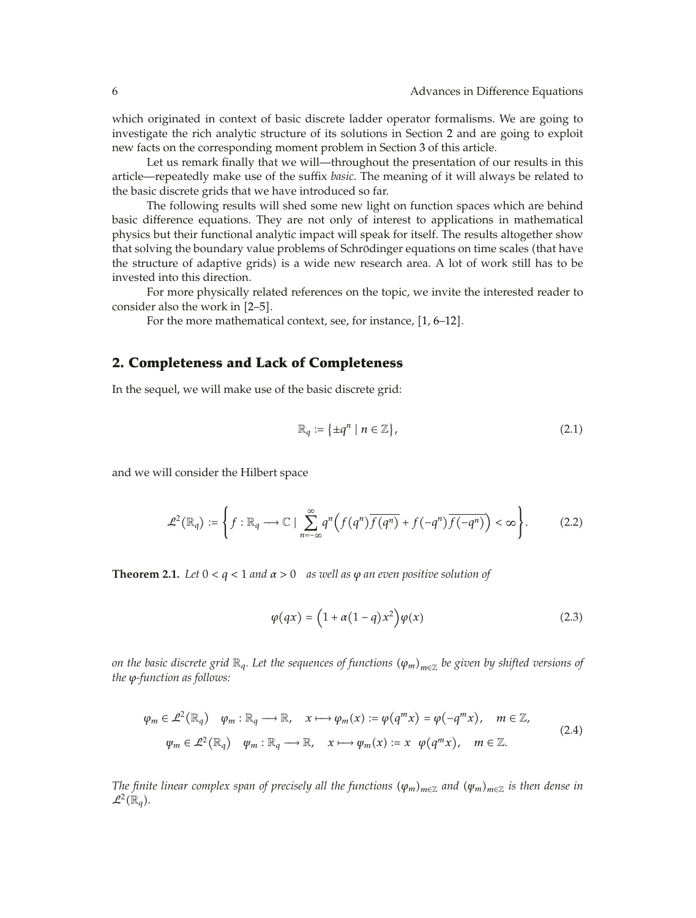which originated in context of basic discrete ladder operator formalisms. We are going to investigate the rich analytic structure of its solutions in Section 2 and are going to exploit new facts on the corresponding moment problem in Section 3 of this article.

Let us remark finally that we will—throughout the presentation of our results in this article—repeatedly make use of the suffix *basic*. The meaning of it will always be related to the basic discrete grids that we have introduced so far.

The following results will shed some new light on function spaces which are behind basic difference equations. They are not only of interest to applications in mathematical physics but their functional analytic impact will speak for itself. The results altogether show that solving the boundary value problems of Schrödinger equations on time scales (that have the structure of adaptive grids) is a wide new research area. A lot of work still has to be invested into this direction.

For more physically related references on the topic, we invite the interested reader to consider also the work in  $[2-5]$ .

For the more mathematical context, see, for instance,  $[1, 6-12]$ .

## **2. Completeness and Lack of Completeness**

In the sequel, we will make use of the basic discrete grid:

$$
\mathbb{R}_q := \left\{ \pm q^n \mid n \in \mathbb{Z} \right\},\tag{2.1}
$$

and we will consider the Hilbert space

$$
\mathcal{L}^2(\mathbb{R}_q) := \left\{ f : \mathbb{R}_q \longrightarrow \mathbb{C} \mid \sum_{n=-\infty}^{\infty} q^n \Big( f(q^n) \overline{f(q^n)} + f(-q^n) \overline{f(-q^n)} \Big) < \infty \right\}.
$$
 (2.2)

**Theorem 2.1.** Let  $0 < q < 1$  and  $\alpha > 0$  as well as  $\varphi$  an even positive solution of

$$
\varphi(qx) = \left(1 + \alpha(1 - q)x^2\right)\varphi(x) \tag{2.3}
$$

*on the basic discrete grid* ℝ<sub>*q</sub></sub>. Let the sequences of functions*  $(φ_m)_{m∈\mathbb{Z}}$  *be given by shifted versions of*</sub> *the ϕ-function as follows:*

$$
\varphi_m \in \mathcal{L}^2(\mathbb{R}_q) \quad \varphi_m : \mathbb{R}_q \longrightarrow \mathbb{R}, \quad x \longmapsto \varphi_m(x) := \varphi(q^m x) = \varphi(-q^m x), \quad m \in \mathbb{Z},
$$
  

$$
\varphi_m \in \mathcal{L}^2(\mathbb{R}_q) \quad \varphi_m : \mathbb{R}_q \longrightarrow \mathbb{R}, \quad x \longmapsto \varphi_m(x) := x \quad \varphi(q^m x), \quad m \in \mathbb{Z}.
$$
 (2.4)

*The finite linear complex span of precisely all the functions*  $(\varphi_m)_{m\in\mathbb{Z}}$  *and*  $(\psi_m)_{m\in\mathbb{Z}}$  *is then dense in*  $\mathcal{L}^2(\mathbb{R}_q)$ .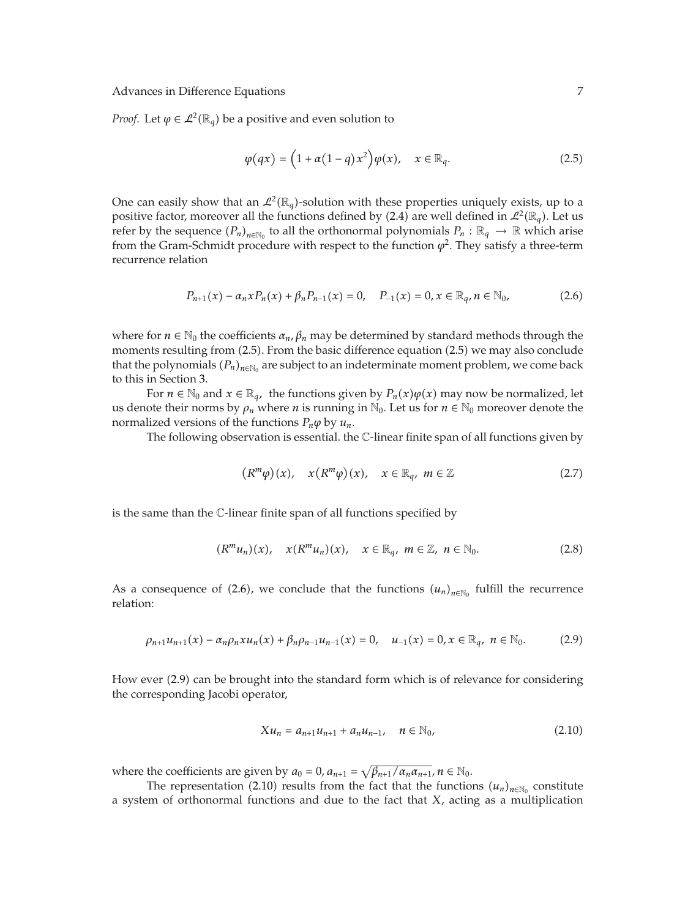*Proof.* Let  $\varphi \in \mathcal{L}^2(\mathbb{R}_q)$  be a positive and even solution to

$$
\varphi(qx) = \left(1 + \alpha(1 - q)x^2\right)\varphi(x), \quad x \in \mathbb{R}_q. \tag{2.5}
$$

One can easily show that an  $\mathcal{L}^2(\mathbb{R}_q)$ -solution with these properties uniquely exists, up to a positive factor, moreover all the functions defined by (2.4) are well defined in  $\mathcal{L}^2(\mathbb{R}_q)$ . Let us refer by the sequence  $(P_n)_{n \in \mathbb{N}_0}$  to all the orthonormal polynomials  $P_n : \mathbb{R}_q \to \mathbb{R}$  which arise from the Gram-Schmidt procedure with respect to the function  $\varphi^2$ . They satisfy a three-term recurrence relation

$$
P_{n+1}(x) - \alpha_n x P_n(x) + \beta_n P_{n-1}(x) = 0, \quad P_{-1}(x) = 0, x \in \mathbb{R}_q, n \in \mathbb{N}_0,
$$
\n(2.6)

where for  $n \in \mathbb{N}_0$  the coefficients  $\alpha_n$ ,  $\beta_n$  may be determined by standard methods through the moments resulting from (2.5). From the basic difference equation (2.5) we may also conclude that the polynomials  $(P_n)_{n\in\mathbb{N}_0}$  are subject to an indeterminate moment problem, we come back to this in Section 3.

For *n* ∈  $\mathbb{N}_0$  and  $x$  ∈  $\mathbb{R}_q$ , the functions given by  $P_n(x)\varphi(x)$  may now be normalized, let us denote their norms by  $\rho_n$  where *n* is running in  $\mathbb{N}_0$ . Let us for  $n \in \mathbb{N}_0$  moreover denote the normalized versions of the functions  $P_n\varphi$  by  $u_n$ .

The following observation is essential. the C-linear finite span of all functions given by

$$
(R^m \varphi)(x), \quad x(R^m \varphi)(x), \quad x \in \mathbb{R}_q, \ m \in \mathbb{Z}
$$
 (2.7)

is the same than the C-linear finite span of all functions specified by

$$
(R^m u_n)(x), \quad x(R^m u_n)(x), \quad x \in \mathbb{R}_q, \ m \in \mathbb{Z}, \ n \in \mathbb{N}_0. \tag{2.8}
$$

As a consequence of (2.6), we conclude that the functions  $(u_n)_{n \in \mathbb{N}_0}$  fulfill the recurrence relation:

$$
\rho_{n+1}u_{n+1}(x) - \alpha_n \rho_n x u_n(x) + \beta_n \rho_{n-1} u_{n-1}(x) = 0, \quad u_{-1}(x) = 0, x \in \mathbb{R}_q, \ n \in \mathbb{N}_0. \tag{2.9}
$$

How ever (2.9) can be brought into the standard form which is of relevance for considering the corresponding Jacobi operator,

$$
Xu_n = a_{n+1}u_{n+1} + a_n u_{n-1}, \quad n \in \mathbb{N}_0,
$$
\n(2.10)

where the coefficients are given by  $a_0 = 0$ ,  $a_{n+1} = \sqrt{\beta_{n+1}/\alpha_n \alpha_{n+1}}$ ,  $n \in \mathbb{N}_0$ .

The representation (2.10) results from the fact that the functions  $(u_n)_{n\in\mathbb{N}_0}$  constitute a system of orthonormal functions and due to the fact that *X*, acting as a multiplication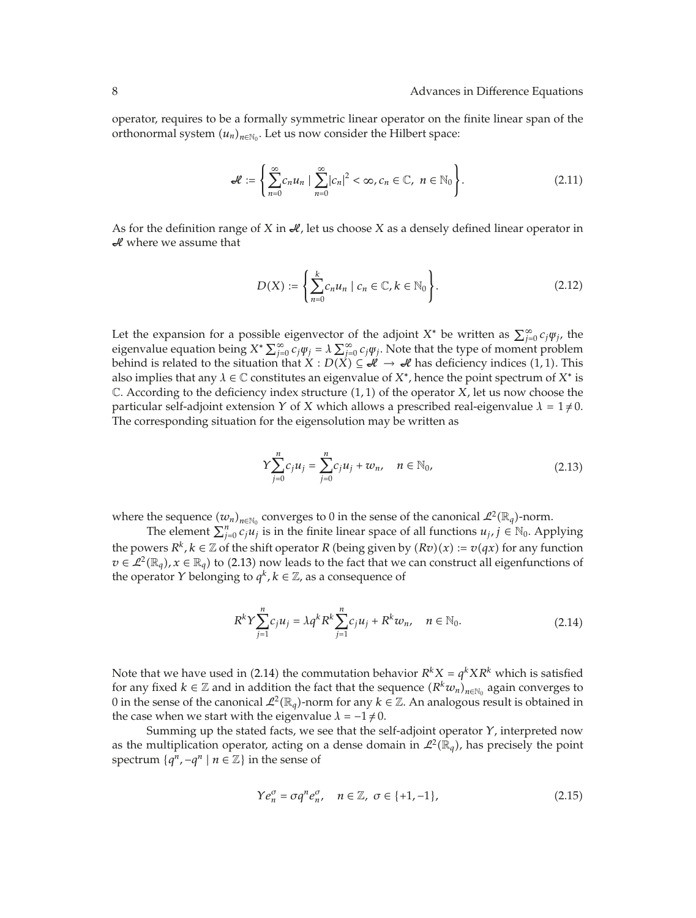operator, requires to be a formally symmetric linear operator on the finite linear span of the orthonormal system  $(u_n)_{n \in \mathbb{N}_0}$ . Let us now consider the Hilbert space:

$$
\mathcal{L} := \left\{ \sum_{n=0}^{\infty} c_n u_n \mid \sum_{n=0}^{\infty} |c_n|^2 < \infty, c_n \in \mathbb{C}, \ n \in \mathbb{N}_0 \right\}.
$$
\n(2.11)

As for the definition range of *X* in  $\mathcal{A}$ , let us choose *X* as a densely defined linear operator in  $\mathcal{A}$  where we assume that

$$
D(X) := \left\{ \sum_{n=0}^{k} c_n u_n \mid c_n \in \mathbb{C}, k \in \mathbb{N}_0 \right\}.
$$
 (2.12)

Let the expansion for a possible eigenvector of the adjoint  $X^*$  be written as  $\sum_{j=0}^{\infty} c_j \psi_j$ , the eigenvalue equation being  $X^* \sum_{j=0}^{\infty} c_j \psi_j = \lambda \sum_{j=0}^{\infty} c_j \psi_j$ . Note that the type of moment problem behind is related to the situation that  $X : D(X) \subseteq \mathcal{H} \to \mathcal{H}$  has deficiency indices (1, 1). This also implies that any  $\lambda \in \mathbb{C}$  constitutes an eigenvalue of  $X^*$ , hence the point spectrum of  $X^*$  is C. According to the deficiency index structure 1*,* 1 of the operator *X*, let us now choose the particular self-adjoint extension *Y* of *X* which allows a prescribed real-eigenvalue  $\lambda = 1 \neq 0$ . The corresponding situation for the eigensolution may be written as

$$
Y\sum_{j=0}^{n}c_{j}u_{j} = \sum_{j=0}^{n}c_{j}u_{j} + w_{n}, \quad n \in \mathbb{N}_{0},
$$
\n(2.13)

where the sequence  $(w_n)_{n \in \mathbb{N}_0}$  converges to 0 in the sense of the canonical  $\mathcal{L}^2(\mathbb{R}_q)$ -norm.

The element  $\sum_{j=0}^{n} c_j u_j$  is in the finite linear space of all functions  $u_j, j \in \mathbb{N}_0$ . Applying the powers  $R^k$ ,  $k \in \mathbb{Z}$  of the shift operator  $R$  (being given by  $(Rv)(x) := v(qx)$  for any function  $v \in \mathcal{L}^2(\mathbb{R}_q)$ ,  $x \in \mathbb{R}_q$  to (2.13) now leads to the fact that we can construct all eigenfunctions of the operator *Y* belonging to  $q^k$ ,  $k \in \mathbb{Z}$ , as a consequence of

$$
R^{k}Y\sum_{j=1}^{n}c_{j}u_{j} = \lambda q^{k}R^{k}\sum_{j=1}^{n}c_{j}u_{j} + R^{k}w_{n}, \quad n \in \mathbb{N}_{0}.
$$
 (2.14)

Note that we have used in (2.14) the commutation behavior  $R^kX = q^kXR^k$  which is satisfied for any fixed  $k \in \mathbb{Z}$  and in addition the fact that the sequence  $(R^k w_n)_{n \in \mathbb{N}_0}$  again converges to 0 in the sense of the canonical  $\mathcal{L}^2(\mathbb{R}_q)$ -norm for any  $k \in \mathbb{Z}$ . An analogous result is obtained in the case when we start with the eigenvalue  $\lambda = -1 \neq 0$ .

Summing up the stated facts, we see that the self-adjoint operator *Y*, interpreted now as the multiplication operator, acting on a dense domain in  $\mathcal{L}^2(\mathbb{R}_q)$ , has precisely the point spectrum  $\{q^n, -q^n \mid n \in \mathbb{Z}\}\$ in the sense of

$$
\Upsilon e_n^{\sigma} = \sigma q^n e_n^{\sigma}, \quad n \in \mathbb{Z}, \ \sigma \in \{+1, -1\},\tag{2.15}
$$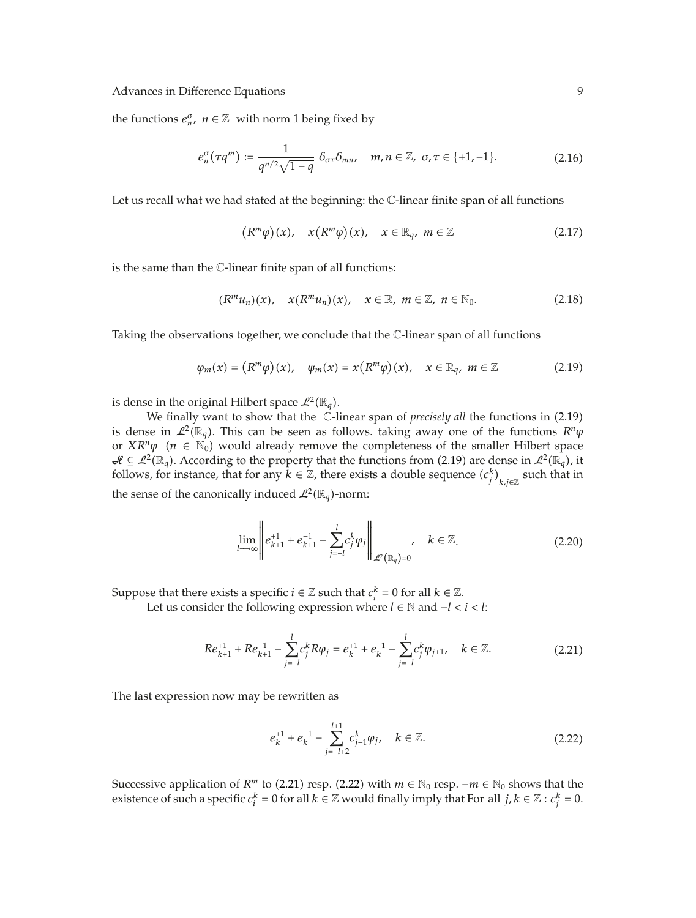the functions  $e_n^{\sigma}$ ,  $n \in \mathbb{Z}$  with norm 1 being fixed by

$$
e_n^{\sigma}(\tau q^m) := \frac{1}{q^{n/2}\sqrt{1-q}} \delta_{\sigma\tau}\delta_{mn}, \quad m, n \in \mathbb{Z}, \ \sigma, \tau \in \{+1, -1\}.
$$
 (2.16)

Let us recall what we had stated at the beginning: the C-linear finite span of all functions

$$
(R^m \varphi)(x), \quad x(R^m \varphi)(x), \quad x \in \mathbb{R}_q, \ m \in \mathbb{Z}
$$
 (2.17)

is the same than the C-linear finite span of all functions:

$$
(R^m u_n)(x), \quad x(R^m u_n)(x), \quad x \in \mathbb{R}, \ m \in \mathbb{Z}, \ n \in \mathbb{N}_0. \tag{2.18}
$$

Taking the observations together, we conclude that the C-linear span of all functions

$$
\varphi_m(x) = \left( R^m \varphi \right)(x), \quad \varphi_m(x) = x \left( R^m \varphi \right)(x), \quad x \in \mathbb{R}_q, \ m \in \mathbb{Z} \tag{2.19}
$$

is dense in the original Hilbert space  $\mathcal{L}^2(\mathbb{R}_q)$ .

We finally want to show that the C-linear span of *precisely all* the functions in (2.19) is dense in  $\mathcal{L}^2(\mathbb{R}_q)$ . This can be seen as follows. taking away one of the functions  $R^n\varphi$ or  $XR^n\varphi$  ( $n \in \mathbb{N}_0$ ) would already remove the completeness of the smaller Hilbert space  $\mathcal{H} \subseteq \mathcal{L}^2(\mathbb{R}_q)$ . According to the property that the functions from (2.19) are dense in  $\mathcal{L}^2(\mathbb{R}_q)$ , it follows, for instance, that for any  $\tilde{k} \in \mathbb{Z}$ , there exists a double sequence  $(c_j^k)_{k,j\in\mathbb{Z}}$  such that in the sense of the canonically induced  $\mathcal{L}^2(\mathbb{R}_q)$ -norm:

$$
\lim_{l \to \infty} \left\| e_{k+1}^{+1} + e_{k+1}^{-1} - \sum_{j=-l}^{l} c_j^k \varphi_j \right\|_{\mathcal{L}^2(\mathbb{R}_q) = 0}, \quad k \in \mathbb{Z}.
$$
\n(2.20)

Suppose that there exists a specific  $i \in \mathbb{Z}$  such that  $c_i^k = 0$  for all  $k \in \mathbb{Z}$ . Let us consider the following expression where *l* ∈ N and  $-$ *l* < *i* < *l*:

$$
Re_{k+1}^{+1} + Re_{k+1}^{-1} - \sum_{j=-l}^{l} c_j^k R \varphi_j = e_k^{+1} + e_k^{-1} - \sum_{j=-l}^{l} c_j^k \varphi_{j+1}, \quad k \in \mathbb{Z}.
$$
 (2.21)

The last expression now may be rewritten as

$$
e_k^{+1} + e_k^{-1} - \sum_{j=-l+2}^{l+1} c_{j-1}^k \varphi_j, \quad k \in \mathbb{Z}.
$$
 (2.22)

Successive application of  $R^m$  to (2.21) resp. (2.22) with  $m \in \mathbb{N}_0$  resp.  $-m \in \mathbb{N}_0$  shows that the existence of such a specific  $c_i^k = 0$  for all  $k \in \mathbb{Z}$  would finally imply that For all  $j, k \in \mathbb{Z} : c_j^k = 0$ .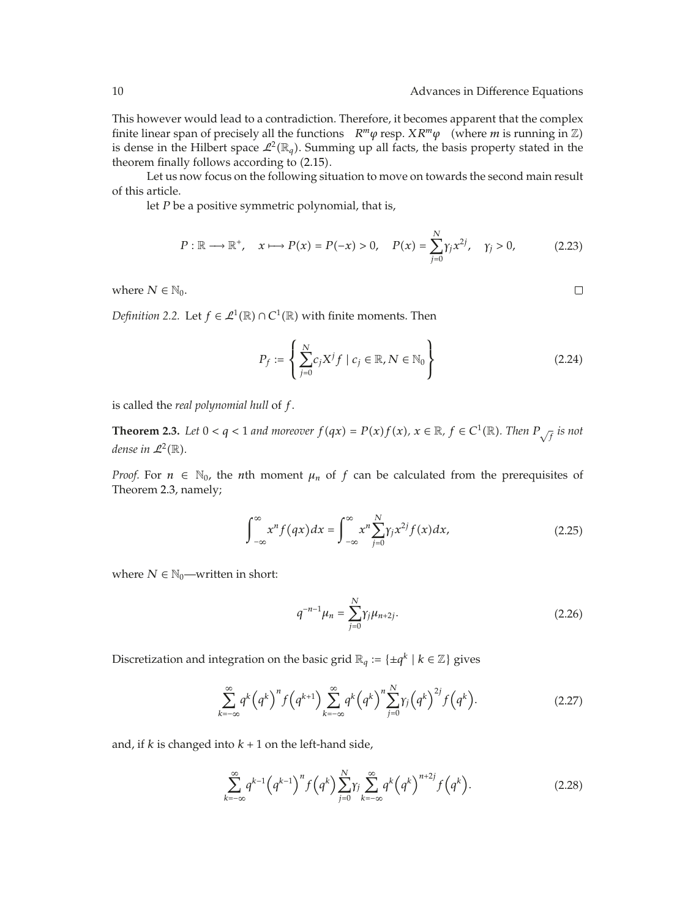$\Box$ 

This however would lead to a contradiction. Therefore, it becomes apparent that the complex finite linear span of precisely all the functions  $R^m\varphi$  resp.  $XR^m\varphi$  (where *m* is running in  $\mathbb{Z}$ ) is dense in the Hilbert space  $\mathcal{L}^2(\mathbb{R}_q)$ . Summing up all facts, the basis property stated in the theorem finally follows according to  $(2.15)$ .

Let us now focus on the following situation to move on towards the second main result of this article.

let *P* be a positive symmetric polynomial, that is,

$$
P: \mathbb{R} \longrightarrow \mathbb{R}^+, \quad x \longmapsto P(x) = P(-x) > 0, \quad P(x) = \sum_{j=0}^{N} \gamma_j x^{2j}, \quad \gamma_j > 0,\tag{2.23}
$$

where  $N \in \mathbb{N}_0$ .

*Definition 2.2.* Let  $f \in \mathcal{L}^1(\mathbb{R}) \cap C^1(\mathbb{R})$  with finite moments. Then

$$
P_f := \left\{ \sum_{j=0}^{N} c_j X^j f \mid c_j \in \mathbb{R}, N \in \mathbb{N}_0 \right\}
$$
 (2.24)

is called the *real polynomial hull* of *f*.

**Theorem 2.3.** Let  $0 < q < 1$  and moreover  $f(qx) = P(x)f(x)$ ,  $x \in \mathbb{R}$ ,  $f \in C^1(\mathbb{R})$ . Then  $P_{\sqrt{f}}$  is not *dense in*  $\mathcal{L}^2(\mathbb{R})$ *.* 

*Proof.* For  $n \in \mathbb{N}_0$ , the *n*th moment  $\mu_n$  of  $f$  can be calculated from the prerequisites of Theorem 2.3, namely;

$$
\int_{-\infty}^{\infty} x^n f(qx) dx = \int_{-\infty}^{\infty} x^n \sum_{j=0}^{N} \gamma_j x^{2j} f(x) dx,
$$
\n(2.25)

where  $N \in \mathbb{N}_0$ —written in short:

$$
q^{-n-1}\mu_n = \sum_{j=0}^{N} \gamma_j \mu_{n+2j}.
$$
 (2.26)

Discretization and integration on the basic grid  $\mathbb{R}_q := \{ \pm q^k \mid k \in \mathbb{Z} \}$  gives

$$
\sum_{k=-\infty}^{\infty} q^k \left( q^k \right)^n f \left( q^{k+1} \right) \sum_{k=-\infty}^{\infty} q^k \left( q^k \right)^n \sum_{j=0}^N \gamma_j \left( q^k \right)^{2j} f \left( q^k \right). \tag{2.27}
$$

and, if  $k$  is changed into  $k + 1$  on the left-hand side,

$$
\sum_{k=-\infty}^{\infty} q^{k-1} (q^{k-1})^n f(q^k) \sum_{j=0}^N \gamma_j \sum_{k=-\infty}^{\infty} q^k (q^k)^{n+2j} f(q^k).
$$
 (2.28)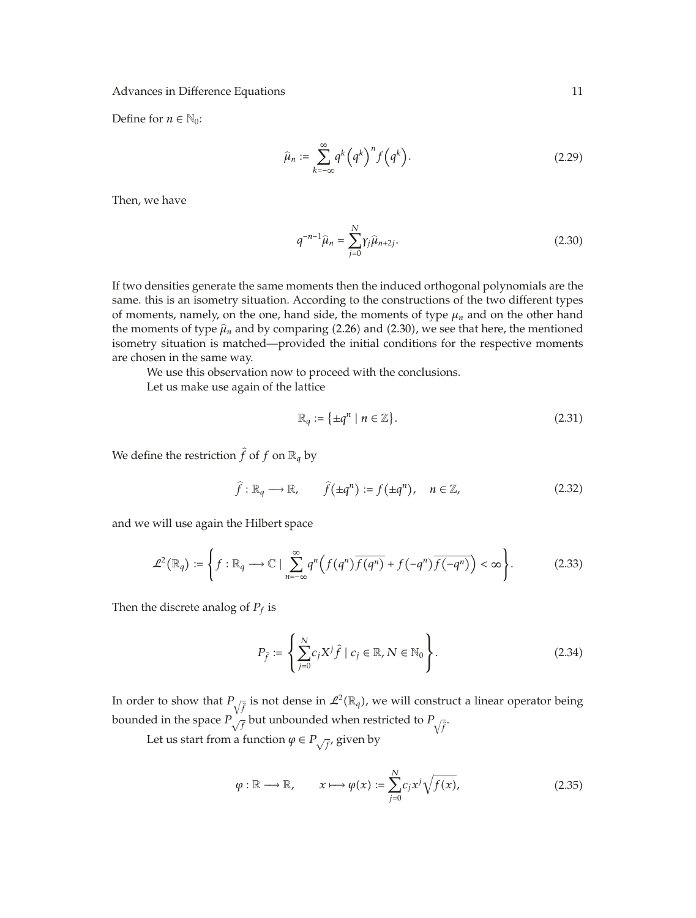Define for  $n \in \mathbb{N}_0$ :

$$
\widehat{\mu}_n := \sum_{k=-\infty}^{\infty} q^k \left( q^k \right)^n f \left( q^k \right). \tag{2.29}
$$

Then, we have

$$
q^{-n-1}\hat{\mu}_n = \sum_{j=0}^{N} \gamma_j \hat{\mu}_{n+2j}.
$$
 (2.30)

If two densities generate the same moments then the induced orthogonal polynomials are the same. this is an isometry situation. According to the constructions of the two different types of moments, namely, on the one, hand side, the moments of type  $\mu_n$  and on the other hand the moments of type  $\hat{\mu}_n$  and by comparing (2.26) and (2.30), we see that here, the mentioned isometry situation is matched—provided the initial conditions for the respective moments are chosen in the same way.

We use this observation now to proceed with the conclusions.

Let us make use again of the lattice

$$
\mathbb{R}_q := \{ \pm q^n \mid n \in \mathbb{Z} \}. \tag{2.31}
$$

We define the restriction  $\hat{f}$  of  $f$  on  $\mathbb{R}_q$  by

$$
\hat{f}: \mathbb{R}_q \longrightarrow \mathbb{R}, \qquad \hat{f}(\pm q^n) := f(\pm q^n), \quad n \in \mathbb{Z}, \tag{2.32}
$$

and we will use again the Hilbert space

$$
\mathcal{L}^2(\mathbb{R}_q) := \left\{ f : \mathbb{R}_q \longrightarrow \mathbb{C} \mid \sum_{n=-\infty}^{\infty} q^n \left( f(q^n) \overline{f(q^n)} + f(-q^n) \overline{f(-q^n)} \right) < \infty \right\}.
$$
 (2.33)

Then the discrete analog of  $P_f$  is

$$
P_{\hat{f}} := \left\{ \sum_{j=0}^{N} c_j X^j \hat{f} \mid c_j \in \mathbb{R}, N \in \mathbb{N}_0 \right\}.
$$
 (2.34)

In order to show that  $P_{\sqrt{\hat{f}}}$  is not dense in  $\mathcal{L}^2(\mathbb{R}_q)$ , we will construct a linear operator being bounded in the space  $P_{\sqrt{f}}$  but unbounded when restricted to  $P_{\sqrt{f}}$ .

Let us start from a function  $\varphi \in P_{\sqrt{f}}$ , given by

$$
\varphi : \mathbb{R} \longrightarrow \mathbb{R}, \qquad x \longmapsto \varphi(x) := \sum_{j=0}^{N} c_j x^j \sqrt{f(x)}, \qquad (2.35)
$$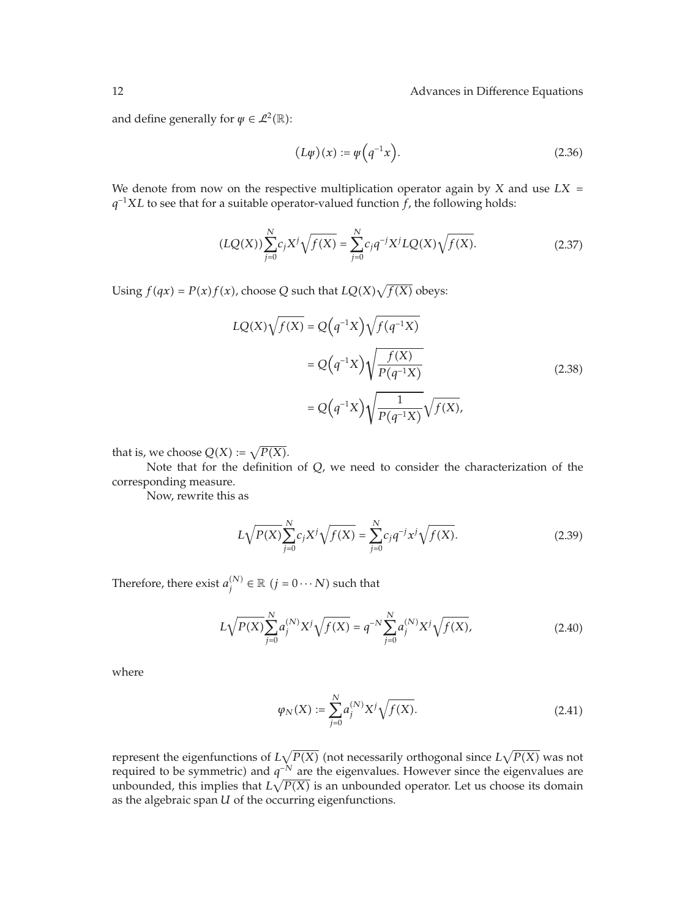#### 12 **Advances in Difference Equations Advances** in Difference Equations

and define generally for  $\psi \in \mathcal{L}^2(\mathbb{R})$ :

$$
(L\varphi)(x) := \varphi\left(q^{-1}x\right). \tag{2.36}
$$

We denote from now on the respective multiplication operator again by *X* and use *LX q*<sup>−1</sup>*XL* to see that for a suitable operator-valued function *f*, the following holds:

$$
(LQ(X))\sum_{j=0}^{N}c_jX^j\sqrt{f(X)} = \sum_{j=0}^{N}c_jq^{-j}X^jLQ(X)\sqrt{f(X)}.
$$
 (2.37)

Using  $f(qx) = P(x)f(x)$ , choose *Q* such that  $LQ(X)\sqrt{f(X)}$  obeys:

$$
LQ(X)\sqrt{f(X)} = Q(q^{-1}X)\sqrt{f(q^{-1}X)}
$$
  
=  $Q(q^{-1}X)\sqrt{\frac{f(X)}{P(q^{-1}X)}}$  (2.38)  
=  $Q(q^{-1}X)\sqrt{\frac{1}{P(q^{-1}X)}}\sqrt{f(X)},$ 

that is, we choose  $Q(X) := \sqrt{P(X)}$ .

Note that for the definition of *Q*, we need to consider the characterization of the corresponding measure.

Now, rewrite this as

$$
L\sqrt{P(X)}\sum_{j=0}^{N}c_jX^j\sqrt{f(X)} = \sum_{j=0}^{N}c_jq^{-j}x^j\sqrt{f(X)}.
$$
 (2.39)

Therefore, there exist  $a_j^{(N)} \in \mathbb{R} \; (j=0 \cdots N)$  such that

$$
L\sqrt{P(X)}\sum_{j=0}^{N}a_j^{(N)}X^j\sqrt{f(X)} = q^{-N}\sum_{j=0}^{N}a_j^{(N)}X^j\sqrt{f(X)},
$$
\n(2.40)

where

$$
\varphi_N(X) := \sum_{j=0}^N a_j^{(N)} X^j \sqrt{f(X)}.
$$
\n(2.41)

represent the eigenfunctions of  $L\sqrt{P(X)}$  (not necessarily orthogonal since  $L\sqrt{P(X)}$  was not required to be symmetric) and *q<sup>−N</sup>* are the eigenvalues. However since the eigenvalues are unbounded, this implies that  $L\sqrt{P(X)}$  is an unbounded operator. Let us choose its domain as the algebraic span *U* of the occurring eigenfunctions.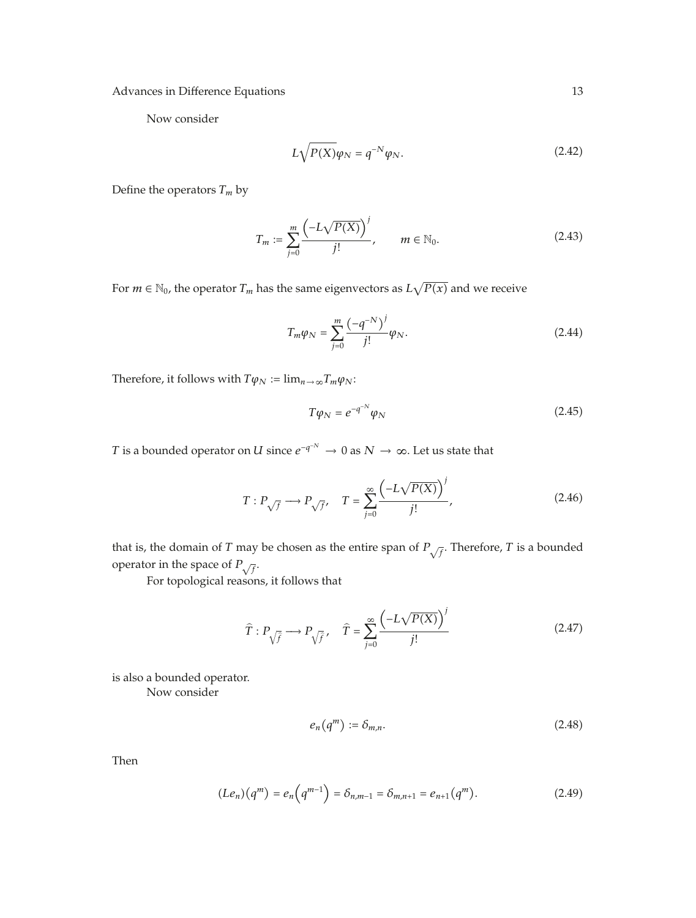Now consider

$$
L\sqrt{P(X)}\varphi_N = q^{-N}\varphi_N. \tag{2.42}
$$

Define the operators  $T_m$  by

$$
T_m := \sum_{j=0}^m \frac{\left(-L\sqrt{P(X)}\right)^j}{j!}, \qquad m \in \mathbb{N}_0.
$$
 (2.43)

For  $m \in \mathbb{N}_0$ , the operator  $T_m$  has the same eigenvectors as  $L\sqrt{P(x)}$  and we receive

$$
T_m \varphi_N = \sum_{j=0}^m \frac{(-q^{-N})^j}{j!} \varphi_N.
$$
 (2.44)

Therefore, it follows with  $T\varphi_N := \lim_{n \to \infty} T_m \varphi_N$ :

$$
T\varphi_N = e^{-q^{-N}}\varphi_N \tag{2.45}
$$

*T* is a bounded operator on *U* since  $e^{-q^{-N}} \to 0$  as  $N \to \infty$ . Let us state that

$$
T: P_{\sqrt{f}} \longrightarrow P_{\sqrt{f}}, \quad T = \sum_{j=0}^{\infty} \frac{\left(-L\sqrt{P(X)}\right)^j}{j!},\tag{2.46}
$$

that is, the domain of *T* may be chosen as the entire span of  $P_{\sqrt{f}}$ . Therefore, *T* is a bounded operator in the space of  $P_{\sqrt{f}}$ .

For topological reasons, it follows that

$$
\widehat{T}: P_{\sqrt{\widehat{f}}} \longrightarrow P_{\sqrt{\widehat{f}}}, \quad \widehat{T} = \sum_{j=0}^{\infty} \frac{\left(-L\sqrt{P(X)}\right)^j}{j!} \tag{2.47}
$$

is also a bounded operator.

Now consider

$$
e_n(q^m) := \delta_{m,n}.\tag{2.48}
$$

Then

$$
(Le_n)(q^m) = e_n\left(q^{m-1}\right) = \delta_{n,m-1} = \delta_{m,n+1} = e_{n+1}(q^m). \tag{2.49}
$$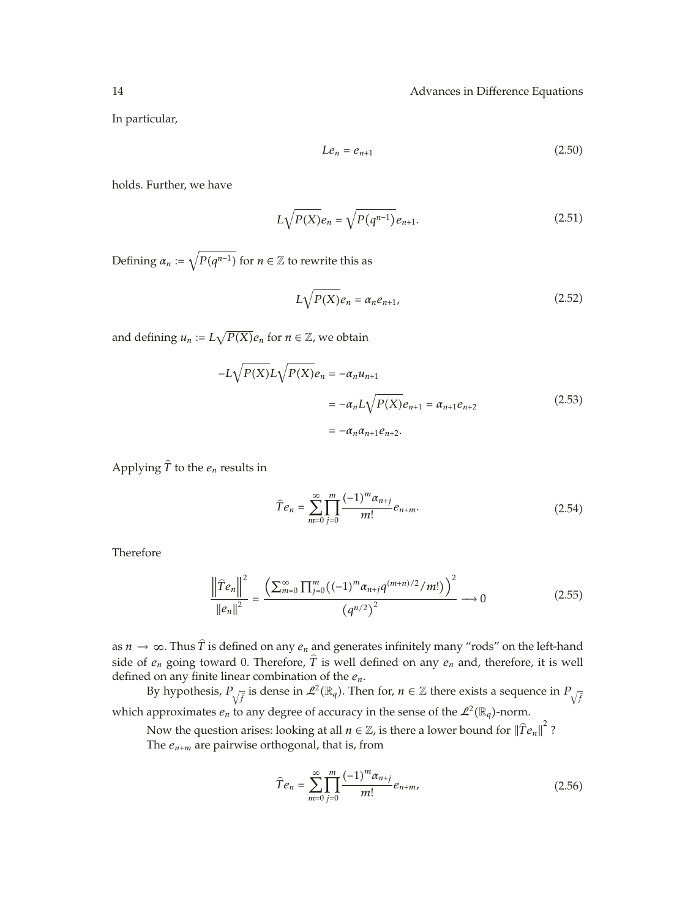In particular,

$$
Le_n = e_{n+1} \tag{2.50}
$$

holds. Further, we have

$$
L\sqrt{P(X)}e_n = \sqrt{P(q^{n-1})}e_{n+1}.
$$
 (2.51)

Defining  $\alpha_n \coloneqq \sqrt{P(q^{n-1})}$  for  $n \in \mathbb{Z}$  to rewrite this as

$$
L\sqrt{P(X)}e_n = \alpha_n e_{n+1},\tag{2.52}
$$

and defining  $u_n := L\sqrt{P(X)}e_n$  for  $n \in \mathbb{Z}$ , we obtain

$$
-L\sqrt{P(X)}L\sqrt{P(X)}e_n = -\alpha_n u_{n+1}
$$
  
=  $-\alpha_n L\sqrt{P(X)}e_{n+1} = \alpha_{n+1}e_{n+2}$  (2.53)  
=  $-\alpha_n \alpha_{n+1}e_{n+2}$ .

Applying  $\hat{T}$  to the  $e_n$  results in

$$
\widehat{T}e_n = \sum_{m=0}^{\infty} \prod_{j=0}^{m} \frac{(-1)^m \alpha_{n+j}}{m!} e_{n+m}.
$$
\n(2.54)

Therefore

$$
\frac{\left\|\widehat{T}e_n\right\|^2}{\left\|e_n\right\|^2} = \frac{\left(\sum_{m=0}^{\infty} \prod_{j=0}^m \left((-1)^m \alpha_{n+j} q^{(m+n)/2} / m! \right)\right)^2}{\left(q^{n/2}\right)^2} \longrightarrow 0 \tag{2.55}
$$

as  $n \to \infty$ . Thus  $\hat{T}$  is defined on any  $e_n$  and generates infinitely many "rods" on the left-hand side of *en* going toward 0. Therefore, *<sup>T</sup>* is well defined on any *en* and, therefore, it is well defined on any finite linear combination of the *en*.

By hypothesis,  $P_{\sqrt{\hat{f}}}$  is dense in  $\mathcal{L}^2(\mathbb{R}_q)$ . Then for,  $n \in \mathbb{Z}$  there exists a sequence in  $P_{\sqrt{\hat{f}}}$ which approximates  $e_n$  to any degree of accuracy in the sense of the  $\mathcal{L}^2(\mathbb{R}_q)$ -norm.

Now the question arises: looking at all  $n \in \mathbb{Z}$ , is there a lower bound for  $\|\hat{T}e_n\|^2$ ? The  $e_{n+m}$  are pairwise orthogonal, that is, from

$$
\widehat{T}e_n = \sum_{m=0}^{\infty} \prod_{j=0}^{m} \frac{(-1)^m \alpha_{n+j}}{m!} e_{n+m},
$$
\n(2.56)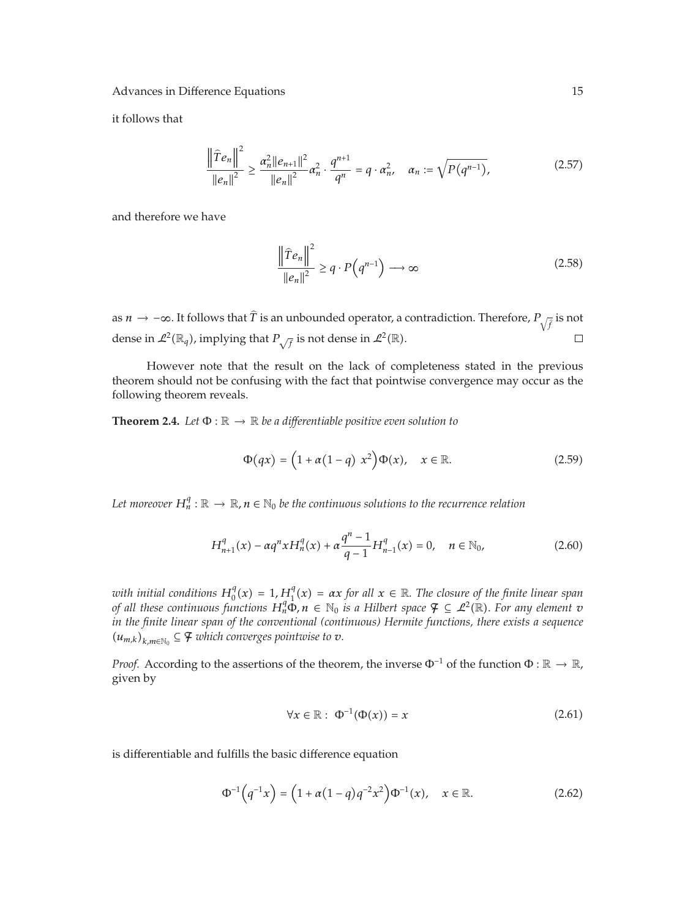it follows that

$$
\frac{\left\|\widehat{T}e_{n}\right\|^{2}}{\left\|e_{n}\right\|^{2}} \geq \frac{\alpha_{n}^{2}\|e_{n+1}\|^{2}}{\left\|e_{n}\right\|^{2}}\alpha_{n}^{2} \cdot \frac{q^{n+1}}{q^{n}} = q \cdot \alpha_{n}^{2}, \quad \alpha_{n} := \sqrt{P(q^{n-1})},
$$
\n(2.57)

and therefore we have

$$
\frac{\left\|\widehat{T}e_n\right\|^2}{\left\|e_n\right\|^2} \ge q \cdot P\left(q^{n-1}\right) \longrightarrow \infty \tag{2.58}
$$

as *n* →  $-\infty$ . It follows that *T* is an unbounded operator, a contradiction. Therefore,  $P_{\sqrt{\hat{f}}}$  is not dense in  $\mathcal{L}^2(\mathbb{R}_q)$ , implying that  $P_{\sqrt{f}}$  is not dense in  $\mathcal{L}^2(\mathbb{R})$ .

However note that the result on the lack of completeness stated in the previous theorem should not be confusing with the fact that pointwise convergence may occur as the following theorem reveals.

**Theorem 2.4.** *Let*  $\Phi : \mathbb{R} \to \mathbb{R}$  *be a differentiable positive even solution to* 

$$
\Phi(qx) = \left(1 + \alpha(1 - q) x^2\right) \Phi(x), \quad x \in \mathbb{R}.\tag{2.59}
$$

*Let moreover*  $H_n^q : \mathbb{R} \to \mathbb{R}$ ,  $n \in \mathbb{N}_0$  be the continuous solutions to the recurrence relation

$$
H_{n+1}^{q}(x) - \alpha q^{n} x H_{n}^{q}(x) + \alpha \frac{q^{n} - 1}{q - 1} H_{n-1}^{q}(x) = 0, \quad n \in \mathbb{N}_{0},
$$
\n(2.60)

*with initial conditions*  $H_0^q(x) = 1$ ,  $H_1^q(x) = \alpha x$  *for all*  $x \in \mathbb{R}$ . The closure of the finite linear span *of all these continuous functions*  $H_n^q \Phi$ ,  $n \in \mathbb{N}_0$  *is a Hilbert space*  $\mathcal{F} \subseteq \mathcal{L}^2(\mathbb{R})$ *. For any element v in the finite linear span of the conventional (continuous) Hermite functions, there exists a sequence*  $(u_{m,k})_{k,m∈\mathbb{N}_0}$  ⊆  $\mathcal{F}$  *which converges pointwise to*  $v$ *.* 

*Proof.* According to the assertions of the theorem, the inverse  $\Phi^{-1}$  of the function  $\Phi : \mathbb{R} \to \mathbb{R}$ , given by

$$
\forall x \in \mathbb{R} : \Phi^{-1}(\Phi(x)) = x \tag{2.61}
$$

is differentiable and fulfills the basic difference equation

$$
\Phi^{-1}(q^{-1}x) = (1 + \alpha(1 - q)q^{-2}x^2)\Phi^{-1}(x), \quad x \in \mathbb{R}.
$$
 (2.62)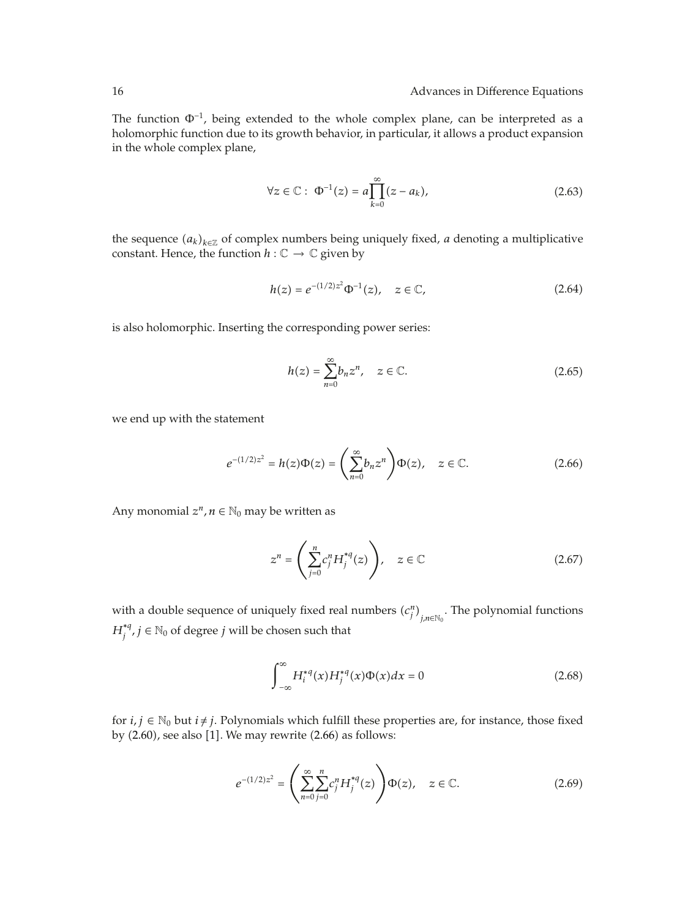The function  $\Phi^{-1}$ , being extended to the whole complex plane, can be interpreted as a holomorphic function due to its growth behavior, in particular, it allows a product expansion in the whole complex plane,

$$
\forall z \in \mathbb{C}: \ \Phi^{-1}(z) = a \prod_{k=0}^{\infty} (z - a_k), \tag{2.63}
$$

the sequence  $(a_k)_{k \in \mathbb{Z}}$  of complex numbers being uniquely fixed, *a* denoting a multiplicative constant. Hence, the function  $h: \mathbb{C} \to \mathbb{C}$  given by

$$
h(z) = e^{-(1/2)z^2} \Phi^{-1}(z), \quad z \in \mathbb{C}, \tag{2.64}
$$

is also holomorphic. Inserting the corresponding power series:

$$
h(z) = \sum_{n=0}^{\infty} b_n z^n, \quad z \in \mathbb{C}.\tag{2.65}
$$

we end up with the statement

$$
e^{-(1/2)z^{2}} = h(z)\Phi(z) = \left(\sum_{n=0}^{\infty} b_{n}z^{n}\right)\Phi(z), \quad z \in \mathbb{C}.
$$
 (2.66)

Any monomial  $z^n$ ,  $n \in \mathbb{N}_0$  may be written as

$$
z^n = \left(\sum_{j=0}^n c_j^n H_j^{*q}(z)\right), \quad z \in \mathbb{C}
$$
 (2.67)

with a double sequence of uniquely fixed real numbers  $(c_j^n)_{j,n \in \mathbb{N}_0}$ . The polynomial functions  $H_j^{*q}$ ,  $j \in \mathbb{N}_0$  of degree  $j$  will be chosen such that

$$
\int_{-\infty}^{\infty} H_i^{*q}(x) H_j^{*q}(x) \Phi(x) dx = 0
$$
\n(2.68)

for  $i, j \in \mathbb{N}_0$  but  $i \neq j$ . Polynomials which fulfill these properties are, for instance, those fixed by  $(2.60)$ , see also  $[1]$ . We may rewrite  $(2.66)$  as follows:

$$
e^{-(1/2)z^2} = \left(\sum_{n=0}^{\infty} \sum_{j=0}^{n} c_j^n H_j^{*q}(z)\right) \Phi(z), \quad z \in \mathbb{C}.
$$
 (2.69)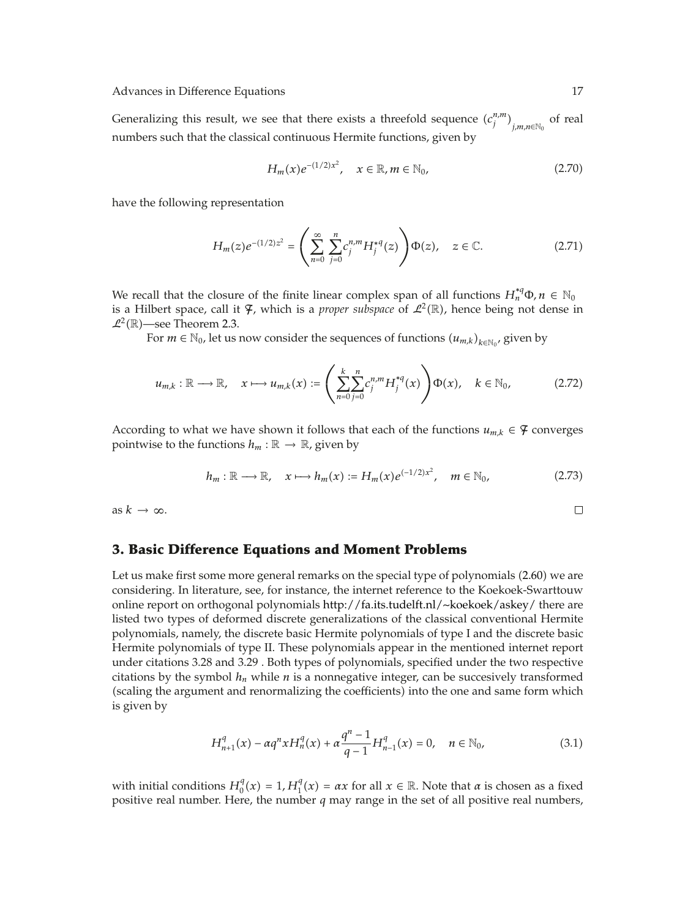Generalizing this result, we see that there exists a threefold sequence  $(c_j^{n,m})_{j,m,n\in\mathbb{N}_0}$  of real numbers such that the classical continuous Hermite functions, given by

$$
H_m(x)e^{-(1/2)x^2}, \quad x \in \mathbb{R}, m \in \mathbb{N}_0,
$$
\n(2.70)

have the following representation

$$
H_m(z)e^{-(1/2)z^2} = \left(\sum_{n=0}^{\infty} \sum_{j=0}^{n} c_j^{n,m} H_j^{*q}(z)\right) \Phi(z), \quad z \in \mathbb{C}.
$$
 (2.71)

We recall that the closure of the finite linear complex span of all functions  $H_n^{*q} \Phi, n \in \mathbb{N}_0$ is a Hilbert space, call it  $\mathcal{F}$ , which is a *proper subspace* of  $\mathcal{L}^2(\mathbb{R})$ , hence being not dense in  $\mathcal{L}^2(\mathbb{R})$ —see Theorem 2.3.

For  $m \in \mathbb{N}_0$ , let us now consider the sequences of functions  $(u_{m,k})_{k \in \mathbb{N}_0}$ , given by

$$
u_{m,k} : \mathbb{R} \longrightarrow \mathbb{R}, \quad x \longmapsto u_{m,k}(x) := \left( \sum_{n=0}^{k} \sum_{j=0}^{n} c_j^{n,m} H_j^{*q}(x) \right) \Phi(x), \quad k \in \mathbb{N}_0,
$$
 (2.72)

According to what we have shown it follows that each of the functions  $u_{m,k} \in \mathcal{F}$  converges pointwise to the functions  $h_m : \mathbb{R} \to \mathbb{R}$ , given by

$$
h_m: \mathbb{R} \longrightarrow \mathbb{R}, \quad x \longmapsto h_m(x) := H_m(x)e^{(-1/2)x^2}, \quad m \in \mathbb{N}_0,
$$
 (2.73)

as  $k \to \infty$ .

#### **3. Basic Difference Equations and Moment Problems**

Let us make first some more general remarks on the special type of polynomials  $(2.60)$  we are considering. In literature, see, for instance, the internet reference to the Koekoek-Swarttouw online report on orthogonal polynomials http://fa.its.tudelft.nl/∼koekoek/askey/ there are listed two types of deformed discrete generalizations of the classical conventional Hermite polynomials, namely, the discrete basic Hermite polynomials of type I and the discrete basic Hermite polynomials of type II. These polynomials appear in the mentioned internet report under citations 3.28 and 3.29 . Both types of polynomials, specified under the two respective citations by the symbol  $h_n$  while  $n$  is a nonnegative integer, can be succesively transformed (scaling the argument and renormalizing the coefficients) into the one and same form which is given by

$$
H_{n+1}^{q}(x) - \alpha q^{n} x H_{n}^{q}(x) + \alpha \frac{q^{n} - 1}{q - 1} H_{n-1}^{q}(x) = 0, \quad n \in \mathbb{N}_{0},
$$
\n(3.1)

with initial conditions  $H_0^q(x) = 1$ ,  $H_1^q(x) = \alpha x$  for all  $x \in \mathbb{R}$ . Note that  $\alpha$  is chosen as a fixed positive real number. Here, the number *q* may range in the set of all positive real numbers,

 $\Box$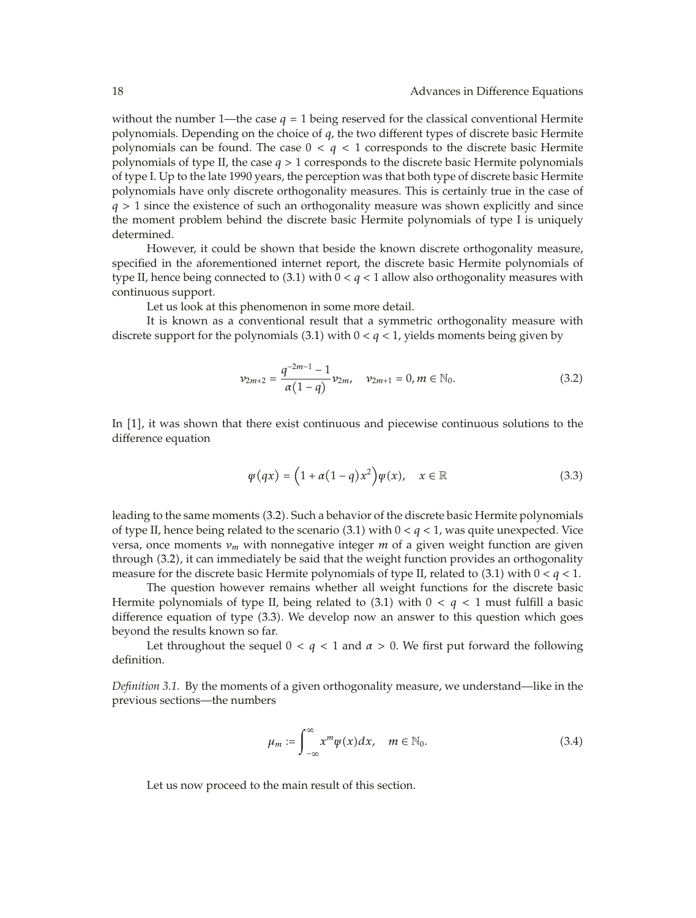without the number 1—the case  $q = 1$  being reserved for the classical conventional Hermite polynomials. Depending on the choice of *q*, the two different types of discrete basic Hermite polynomials can be found. The case  $0 < q < 1$  corresponds to the discrete basic Hermite polynomials of type II, the case *q >* 1 corresponds to the discrete basic Hermite polynomials of type I. Up to the late 1990 years, the perception was that both type of discrete basic Hermite polynomials have only discrete orthogonality measures. This is certainly true in the case of *q >* 1 since the existence of such an orthogonality measure was shown explicitly and since the moment problem behind the discrete basic Hermite polynomials of type I is uniquely determined.

However, it could be shown that beside the known discrete orthogonality measure, specified in the aforementioned internet report, the discrete basic Hermite polynomials of type II, hence being connected to  $(3.1)$  with  $0 < q < 1$  allow also orthogonality measures with continuous support.

Let us look at this phenomenon in some more detail.

It is known as a conventional result that a symmetric orthogonality measure with discrete support for the polynomials  $(3.1)$  with  $0 < q < 1$ , yields moments being given by

$$
\nu_{2m+2} = \frac{q^{-2m-1}-1}{\alpha(1-q)} \nu_{2m}, \quad \nu_{2m+1} = 0, m \in \mathbb{N}_0.
$$
 (3.2)

In [1], it was shown that there exist continuous and piecewise continuous solutions to the difference equation

$$
\psi(qx) = \left(1 + \alpha(1 - q)x^2\right)\psi(x), \quad x \in \mathbb{R} \tag{3.3}
$$

leading to the same moments (3.2). Such a behavior of the discrete basic Hermite polynomials of type II, hence being related to the scenario  $(3.1)$  with  $0 < q < 1$ , was quite unexpected. Vice versa, once moments *νm* with nonnegative integer *m* of a given weight function are given through 3.2, it can immediately be said that the weight function provides an orthogonality measure for the discrete basic Hermite polynomials of type II, related to (3.1) with  $0 < q < 1$ .

The question however remains whether all weight functions for the discrete basic Hermite polynomials of type II, being related to  $(3.1)$  with  $0 < q < 1$  must fulfill a basic difference equation of type 3.3. We develop now an answer to this question which goes beyond the results known so far.

Let throughout the sequel  $0 < q < 1$  and  $\alpha > 0$ . We first put forward the following definition.

*Definition 3.1.* By the moments of a given orthogonality measure, we understand—like in the previous sections—the numbers

$$
\mu_m := \int_{-\infty}^{\infty} x^m \psi(x) dx, \quad m \in \mathbb{N}_0.
$$
 (3.4)

Let us now proceed to the main result of this section.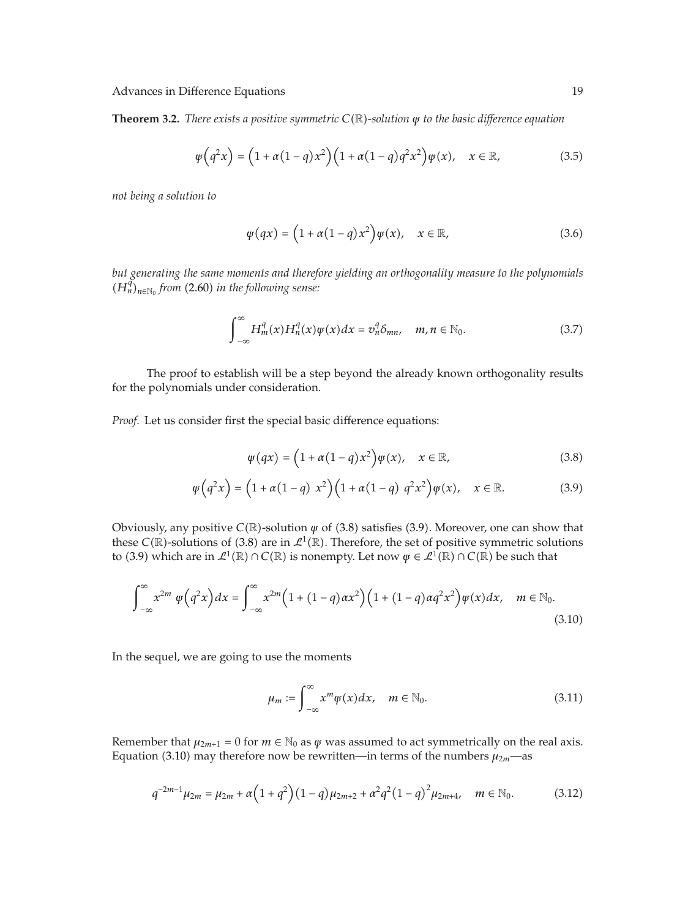**Theorem 3.2.** *There exists a positive symmetric C*R*-solution ψ to the basic difference equation*

$$
\varphi(q^2x) = \left(1 + \alpha(1-q)x^2\right)\left(1 + \alpha(1-q)q^2x^2\right)\varphi(x), \quad x \in \mathbb{R},\tag{3.5}
$$

*not being a solution to*

$$
\psi(qx) = \left(1 + \alpha(1 - q)x^2\right)\psi(x), \quad x \in \mathbb{R}, \tag{3.6}
$$

*but generating the same moments and therefore yielding an orthogonality measure to the polynomials*  $(H_n^{\tilde{q}})_{n \in \mathbb{N}_0}$  *from* (2.60) *in the following sense:* 

$$
\int_{-\infty}^{\infty} H_m^q(x) H_n^q(x) \psi(x) dx = v_n^q \delta_{mn}, \quad m, n \in \mathbb{N}_0.
$$
 (3.7)

The proof to establish will be a step beyond the already known orthogonality results for the polynomials under consideration.

*Proof.* Let us consider first the special basic difference equations:

$$
\psi(qx) = \left(1 + \alpha(1-q)x^2\right)\psi(x), \quad x \in \mathbb{R},\tag{3.8}
$$

$$
\varphi(q^2x) = \left(1 + \alpha(1-q) x^2\right) \left(1 + \alpha(1-q) q^2 x^2\right) \varphi(x), \quad x \in \mathbb{R}.\tag{3.9}
$$

Obviously, any positive *C*(ℝ)-solution  $\psi$  of (3.8) satisfies (3.9). Moreover, one can show that these *C*( $\mathbb{R}$ )-solutions of (3.8) are in  $\mathcal{L}^1(\mathbb{R})$ . Therefore, the set of positive symmetric solutions to (3.9) which are in  $\mathcal{L}^1(\mathbb{R}) \cap C(\mathbb{R})$  is nonempty. Let now  $\psi \in \mathcal{L}^1(\mathbb{R}) \cap C(\mathbb{R})$  be such that

$$
\int_{-\infty}^{\infty} x^{2m} \psi(q^2 x) dx = \int_{-\infty}^{\infty} x^{2m} \left(1 + (1 - q) \alpha x^2\right) \left(1 + (1 - q) \alpha q^2 x^2\right) \psi(x) dx, \quad m \in \mathbb{N}_0.
$$
\n(3.10)

In the sequel, we are going to use the moments

$$
\mu_m := \int_{-\infty}^{\infty} x^m \psi(x) dx, \quad m \in \mathbb{N}_0.
$$
 (3.11)

Remember that  $\mu_{2m+1} = 0$  for  $m \in \mathbb{N}_0$  as  $\psi$  was assumed to act symmetrically on the real axis. Equation (3.10) may therefore now be rewritten—in terms of the numbers  $\mu_{2m}$ —as

$$
q^{-2m-1}\mu_{2m} = \mu_{2m} + \alpha \left(1 + q^2\right) \left(1 - q\right) \mu_{2m+2} + \alpha^2 q^2 \left(1 - q\right)^2 \mu_{2m+4}, \quad m \in \mathbb{N}_0. \tag{3.12}
$$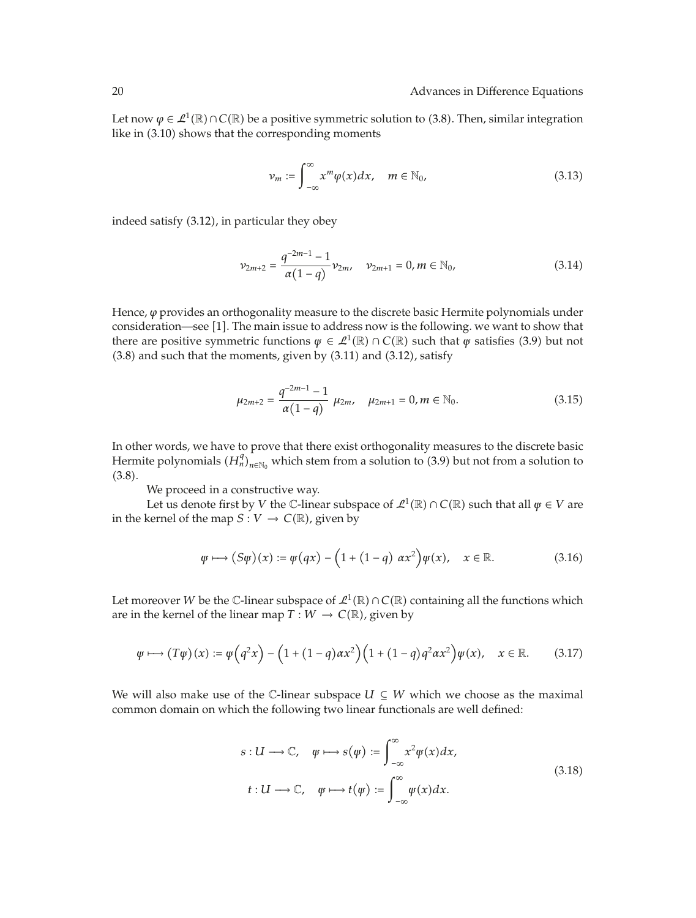Let now  $\varphi \in \mathcal{L}^1(\mathbb{R}) \cap C(\mathbb{R})$  be a positive symmetric solution to (3.8). Then, similar integration like in (3.10) shows that the corresponding moments

$$
\nu_m := \int_{-\infty}^{\infty} x^m \varphi(x) dx, \quad m \in \mathbb{N}_0,
$$
\n(3.13)

indeed satisfy (3.12), in particular they obey

$$
\nu_{2m+2} = \frac{q^{-2m-1} - 1}{\alpha(1-q)} \nu_{2m}, \quad \nu_{2m+1} = 0, m \in \mathbb{N}_0,
$$
\n(3.14)

Hence, *ϕ* provides an orthogonality measure to the discrete basic Hermite polynomials under consideration—see [1]. The main issue to address now is the following. we want to show that there are positive symmetric functions  $\psi \in \mathcal{L}^1(\mathbb{R}) \cap C(\mathbb{R})$  such that  $\psi$  satisfies (3.9) but not  $(3.8)$  and such that the moments, given by  $(3.11)$  and  $(3.12)$ , satisfy

$$
\mu_{2m+2} = \frac{q^{-2m-1}-1}{\alpha(1-q)} \ \mu_{2m}, \quad \mu_{2m+1} = 0, m \in \mathbb{N}_0.
$$
 (3.15)

In other words, we have to prove that there exist orthogonality measures to the discrete basic Hermite polynomials  $(H_n^q)_{n \in \mathbb{N}_0}$  which stem from a solution to (3.9) but not from a solution to  $(3.8).$ 

We proceed in a constructive way.

Let us denote first by *V* the *C*-linear subspace of  $\mathcal{L}^1(\mathbb{R}) \cap C(\mathbb{R})$  such that all  $\psi \in V$  are in the kernel of the map  $S: V \to C(\mathbb{R})$ , given by

$$
\varphi \longmapsto (S\varphi)(x) := \varphi(qx) - \left(1 + (1 - q) \, \alpha x^2\right) \varphi(x), \quad x \in \mathbb{R}.\tag{3.16}
$$

Let moreover *W* be the *C*-linear subspace of  $\mathcal{L}^1(\mathbb{R}) \cap C(\mathbb{R})$  containing all the functions which are in the kernel of the linear map  $T: W \to C(\mathbb{R})$ , given by

$$
\varphi \longmapsto (T\varphi)(x) := \varphi(q^2x) - \left(1 + (1-q)\alpha x^2\right)\left(1 + (1-q)q^2\alpha x^2\right)\varphi(x), \quad x \in \mathbb{R}.\tag{3.17}
$$

We will also make use of the  $\mathbb{C}$ -linear subspace  $U \subseteq W$  which we choose as the maximal common domain on which the following two linear functionals are well defined:

$$
s: U \longrightarrow \mathbb{C}, \quad \psi \longmapsto s(\psi) := \int_{-\infty}^{\infty} x^2 \psi(x) dx,
$$
  

$$
t: U \longrightarrow \mathbb{C}, \quad \psi \longmapsto t(\psi) := \int_{-\infty}^{\infty} \psi(x) dx.
$$
 (3.18)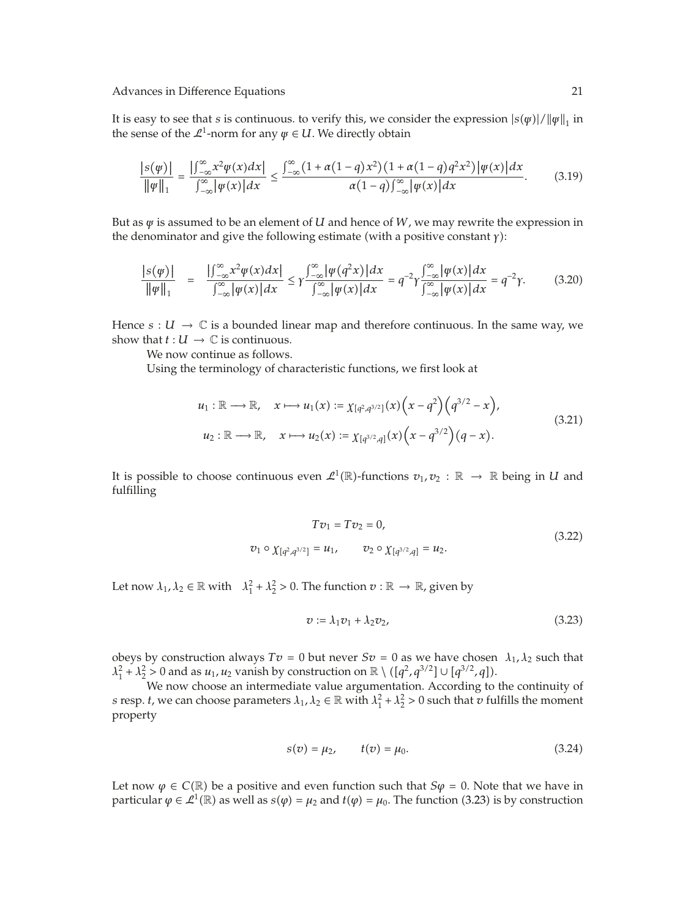It is easy to see that *s* is continuous. to verify this, we consider the expression  $|s(\psi)|/||\psi||_1$  in the sense of the  $\mathcal{L}^1$ -norm for any  $\psi \in U$ . We directly obtain

$$
\frac{|s(\psi)|}{\|\psi\|_1} = \frac{\left|\int_{-\infty}^{\infty} x^2 \psi(x) dx\right|}{\int_{-\infty}^{\infty} |\psi(x)| dx} \le \frac{\int_{-\infty}^{\infty} (1 + \alpha(1 - q) x^2) \left(1 + \alpha(1 - q) q^2 x^2\right) |\psi(x)| dx}{\alpha (1 - q) \int_{-\infty}^{\infty} |\psi(x)| dx}.
$$
(3.19)

But as  $\psi$  is assumed to be an element of *U* and hence of *W*, we may rewrite the expression in the denominator and give the following estimate (with a positive constant *γ*):

$$
\frac{|s(\psi)|}{\|\psi\|_1} = \frac{\left|\int_{-\infty}^{\infty} x^2 \psi(x) dx\right|}{\int_{-\infty}^{\infty} |\psi(x)| dx} \le \gamma \frac{\int_{-\infty}^{\infty} |\psi(q^2 x)| dx}{\int_{-\infty}^{\infty} |\psi(x)| dx} = q^{-2} \gamma \frac{\int_{-\infty}^{\infty} |\psi(x)| dx}{\int_{-\infty}^{\infty} |\psi(x)| dx} = q^{-2} \gamma. \tag{3.20}
$$

Hence  $s: U \to \mathbb{C}$  is a bounded linear map and therefore continuous. In the same way, we show that  $t: U \to \mathbb{C}$  is continuous.

We now continue as follows.

Using the terminology of characteristic functions, we first look at

$$
u_1: \mathbb{R} \longrightarrow \mathbb{R}, \quad x \longmapsto u_1(x) := \chi_{[q^2,q^{3/2}]}(x) \left(x - q^2\right) \left(q^{3/2} - x\right),
$$
  

$$
u_2: \mathbb{R} \longrightarrow \mathbb{R}, \quad x \longmapsto u_2(x) := \chi_{[q^{3/2},q]}(x) \left(x - q^{3/2}\right) \left(q - x\right).
$$
  
(3.21)

It is possible to choose continuous even  $\mathcal{L}^1(\mathbb{R})$ -functions  $v_1, v_2 : \mathbb{R} \to \mathbb{R}$  being in *U* and fulfilling

$$
Tv_1 = Tv_2 = 0,
$$
  
\n
$$
v_1 \circ \chi_{[q^2, q^{3/2}]} = u_1, \qquad v_2 \circ \chi_{[q^{3/2}, q]} = u_2.
$$
\n(3.22)

Let now  $\lambda_1, \lambda_2 \in \mathbb{R}$  with  $\lambda_1^2 + \lambda_2^2 > 0$ . The function  $v : \mathbb{R} \to \mathbb{R}$ , given by

$$
v := \lambda_1 v_1 + \lambda_2 v_2, \tag{3.23}
$$

obeys by construction always  $Tv = 0$  but never  $Sv = 0$  as we have chosen  $\lambda_1, \lambda_2$  such that  $\lambda_1^2 + \lambda_2^2 > 0$  and as  $u_1, u_2$  vanish by construction on  $\mathbb{R} \setminus (\sqrt{q^2}, \sqrt{q^3/2}] \cup \sqrt{q^{3/2}}, q$ .

We now choose an intermediate value argumentation. According to the continuity of *s* resp. *t*, we can choose parameters  $\lambda_1$ ,  $\lambda_2 \in \mathbb{R}$  with  $\lambda_1^2 + \lambda_2^2 > 0$  such that *v* fulfills the moment property

$$
s(v) = \mu_2, \qquad t(v) = \mu_0. \tag{3.24}
$$

Let now  $\varphi \in C(\mathbb{R})$  be a positive and even function such that  $S\varphi = 0$ . Note that we have in particular  $\varphi \in \mathcal{L}^1(\mathbb{R})$  as well as  $s(\varphi) = \mu_2$  and  $t(\varphi) = \mu_0$ . The function (3.23) is by construction